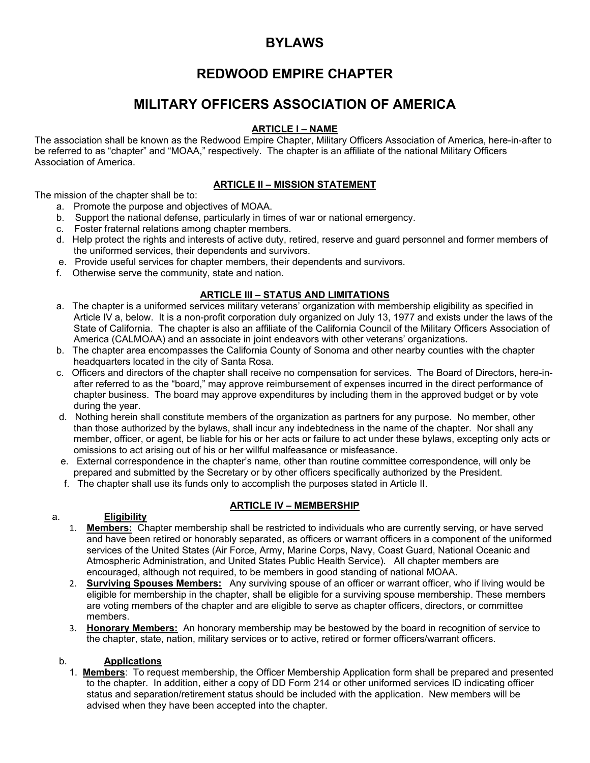# **BYLAWS**

# **REDWOOD EMPIRE CHAPTER**

# **MILITARY OFFICERS ASSOCIATION OF AMERICA**

# **ARTICLE I – NAME**

The association shall be known as the Redwood Empire Chapter, Military Officers Association of America, here-in-after to be referred to as "chapter" and "MOAA," respectively. The chapter is an affiliate of the national Military Officers Association of America.

# **ARTICLE II – MISSION STATEMENT**

The mission of the chapter shall be to:

- a. Promote the purpose and objectives of MOAA.
- b. Support the national defense, particularly in times of war or national emergency.
- c. Foster fraternal relations among chapter members.
- d. Help protect the rights and interests of active duty, retired, reserve and guard personnel and former members of the uniformed services, their dependents and survivors.
- e. Provide useful services for chapter members, their dependents and survivors.
- f. Otherwise serve the community, state and nation.

### **ARTICLE III – STATUS AND LIMITATIONS**

- a. The chapter is a uniformed services military veterans' organization with membership eligibility as specified in Article IV a, below. It is a non-profit corporation duly organized on July 13, 1977 and exists under the laws of the State of California. The chapter is also an affiliate of the California Council of the Military Officers Association of America (CALMOAA) and an associate in joint endeavors with other veterans' organizations.
- b. The chapter area encompasses the California County of Sonoma and other nearby counties with the chapter headquarters located in the city of Santa Rosa.
- c. Officers and directors of the chapter shall receive no compensation for services. The Board of Directors, here-inafter referred to as the "board," may approve reimbursement of expenses incurred in the direct performance of chapter business. The board may approve expenditures by including them in the approved budget or by vote during the year.
- d. Nothing herein shall constitute members of the organization as partners for any purpose. No member, other than those authorized by the bylaws, shall incur any indebtedness in the name of the chapter. Nor shall any member, officer, or agent, be liable for his or her acts or failure to act under these bylaws, excepting only acts or omissions to act arising out of his or her willful malfeasance or misfeasance.
- e. External correspondence in the chapter's name, other than routine committee correspondence, will only be prepared and submitted by the Secretary or by other officers specifically authorized by the President.
- f. The chapter shall use its funds only to accomplish the purposes stated in Article II.

#### a. **Eligibility**

# **ARTICLE IV – MEMBERSHIP**

- 1. **Members:** Chapter membership shall be restricted to individuals who are currently serving, or have served and have been retired or honorably separated, as officers or warrant officers in a component of the uniformed services of the United States (Air Force, Army, Marine Corps, Navy, Coast Guard, National Oceanic and Atmospheric Administration, and United States Public Health Service). All chapter members are encouraged, although not required, to be members in good standing of national MOAA.
- 2. **Surviving Spouses Members:** Any surviving spouse of an officer or warrant officer, who if living would be eligible for membership in the chapter, shall be eligible for a surviving spouse membership. These members are voting members of the chapter and are eligible to serve as chapter officers, directors, or committee members.
- 3. **Honorary Members:** An honorary membership may be bestowed by the board in recognition of service to the chapter, state, nation, military services or to active, retired or former officers/warrant officers.

#### b. **Applications**

1. **Members**: To request membership, the Officer Membership Application form shall be prepared and presented to the chapter. In addition, either a copy of DD Form 214 or other uniformed services ID indicating officer status and separation/retirement status should be included with the application. New members will be advised when they have been accepted into the chapter.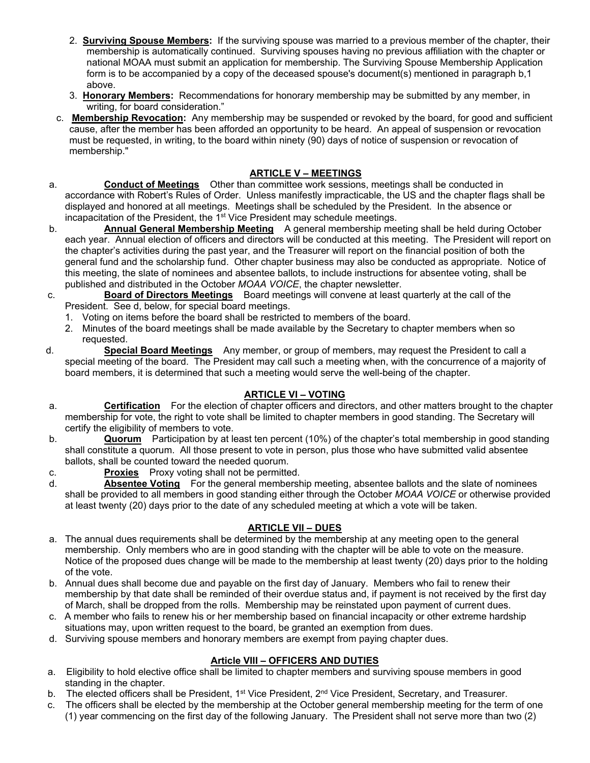- 2. **Surviving Spouse Members:** If the surviving spouse was married to a previous member of the chapter, their membership is automatically continued. Surviving spouses having no previous affiliation with the chapter or national MOAA must submit an application for membership. The Surviving Spouse Membership Application form is to be accompanied by a copy of the deceased spouse's document(s) mentioned in paragraph b, 1 above.
- 3. **Honorary Members:** Recommendations for honorary membership may be submitted by any member, in writing, for board consideration."
- c. **Membership Revocation:** Any membership may be suspended or revoked by the board, for good and sufficient cause, after the member has been afforded an opportunity to be heard. An appeal of suspension or revocation must be requested, in writing, to the board within ninety (90) days of notice of suspension or revocation of membership."

# **ARTICLE V – MEETINGS**

- a. **Conduct of Meetings** Other than committee work sessions, meetings shall be conducted in accordance with Robert's Rules of Order. Unless manifestly impracticable, the US and the chapter flags shall be displayed and honored at all meetings. Meetings shall be scheduled by the President. In the absence or  $incapacitation$  of the President, the  $1<sup>st</sup>$  Vice President may schedule meetings.
- b. **Annual General Membership Meeting** A general membership meeting shall be held during October each year. Annual election of officers and directors will be conducted at this meeting. The President will report on the chapter's activities during the past year, and the Treasurer will report on the financial position of both the general fund and the scholarship fund. Other chapter business may also be conducted as appropriate. Notice of this meeting, the slate of nominees and absentee ballots, to include instructions for absentee voting, shall be published and distributed in the October *MOAA VOICE*, the chapter newsletter.
- c. **Board of Directors Meetings** Board meetings will convene at least quarterly at the call of the President. See d, below, for special board meetings.
	- 1. Voting on items before the board shall be restricted to members of the board.
	- 2. Minutes of the board meetings shall be made available by the Secretary to chapter members when so requested.
- d. **Special Board Meetings** Any member, or group of members, may request the President to call a special meeting of the board. The President may call such a meeting when, with the concurrence of a majority of board members, it is determined that such a meeting would serve the well-being of the chapter.

#### **ARTICLE VI – VOTING**

- a. **Certification** For the election of chapter officers and directors, and other matters brought to the chapter membership for vote, the right to vote shall be limited to chapter members in good standing. The Secretary will certify the eligibility of members to vote.
- b. **Quorum** Participation by at least ten percent (10%) of the chapter's total membership in good standing shall constitute a quorum. All those present to vote in person, plus those who have submitted valid absentee ballots, shall be counted toward the needed quorum.
- c. **Proxies** Proxy voting shall not be permitted.
- d. **Absentee Voting** For the general membership meeting, absentee ballots and the slate of nominees shall be provided to all members in good standing either through the October *MOAA VOICE* or otherwise provided at least twenty (20) days prior to the date of any scheduled meeting at which a vote will be taken.

# **ARTICLE VII – DUES**

- a. The annual dues requirements shall be determined by the membership at any meeting open to the general membership. Only members who are in good standing with the chapter will be able to vote on the measure. Notice of the proposed dues change will be made to the membership at least twenty (20) days prior to the holding of the vote.
- b. Annual dues shall become due and payable on the first day of January. Members who fail to renew their membership by that date shall be reminded of their overdue status and, if payment is not received by the first day of March, shall be dropped from the rolls. Membership may be reinstated upon payment of current dues.
- c. A member who fails to renew his or her membership based on financial incapacity or other extreme hardship situations may, upon written request to the board, be granted an exemption from dues.
- d. Surviving spouse members and honorary members are exempt from paying chapter dues.

# **Article VIII – OFFICERS AND DUTIES**

- a. Eligibility to hold elective office shall be limited to chapter members and surviving spouse members in good standing in the chapter.
- b. The elected officers shall be President, 1<sup>st</sup> Vice President, 2<sup>nd</sup> Vice President, Secretary, and Treasurer.
- c. The officers shall be elected by the membership at the October general membership meeting for the term of one (1) year commencing on the first day of the following January. The President shall not serve more than two (2)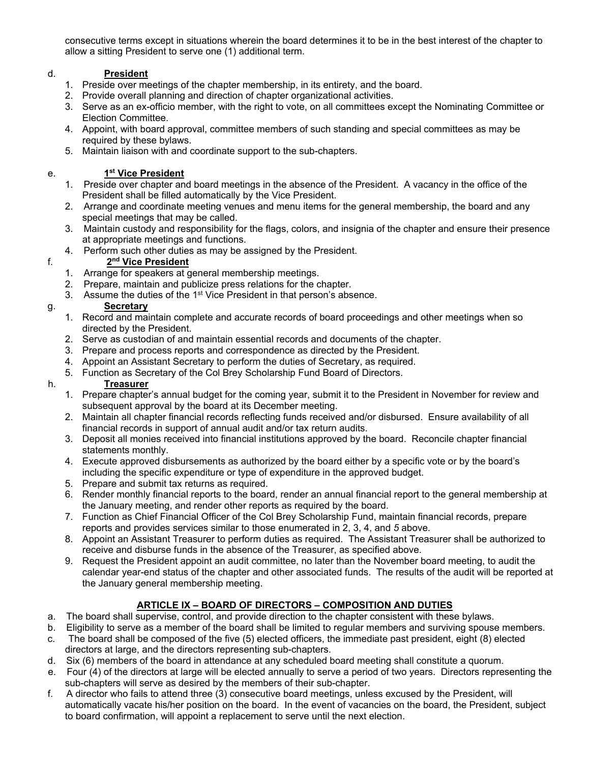consecutive terms except in situations wherein the board determines it to be in the best interest of the chapter to allow a sitting President to serve one (1) additional term.

# d. **President**

- 1. Preside over meetings of the chapter membership, in its entirety, and the board.
- 2. Provide overall planning and direction of chapter organizational activities.
- 3. Serve as an ex-officio member, with the right to vote, on all committees except the Nominating Committee or Election Committee.
- 4. Appoint, with board approval, committee members of such standing and special committees as may be required by these bylaws.
- 5. Maintain liaison with and coordinate support to the sub-chapters.

#### e. **1st Vice President**

- 1. Preside over chapter and board meetings in the absence of the President. A vacancy in the office of the President shall be filled automatically by the Vice President.
- 2. Arrange and coordinate meeting venues and menu items for the general membership, the board and any special meetings that may be called.
- 3. Maintain custody and responsibility for the flags, colors, and insignia of the chapter and ensure their presence at appropriate meetings and functions.
- 4. Perform such other duties as may be assigned by the President.

### f. **2nd Vice President**

- 1. Arrange for speakers at general membership meetings.
- 2. Prepare, maintain and publicize press relations for the chapter.
- 3. Assume the duties of the 1<sup>st</sup> Vice President in that person's absence.

# g. **Secretary**

- 1. Record and maintain complete and accurate records of board proceedings and other meetings when so directed by the President.
- 2. Serve as custodian of and maintain essential records and documents of the chapter.
- 3. Prepare and process reports and correspondence as directed by the President.
- 4. Appoint an Assistant Secretary to perform the duties of Secretary, as required.
- 5. Function as Secretary of the Col Brey Scholarship Fund Board of Directors.

# h. **Treasurer**

- 1. Prepare chapter's annual budget for the coming year, submit it to the President in November for review and subsequent approval by the board at its December meeting.
- 2. Maintain all chapter financial records reflecting funds received and/or disbursed. Ensure availability of all financial records in support of annual audit and/or tax return audits.
- 3. Deposit all monies received into financial institutions approved by the board. Reconcile chapter financial statements monthly.
- 4. Execute approved disbursements as authorized by the board either by a specific vote or by the board's including the specific expenditure or type of expenditure in the approved budget.
- 5. Prepare and submit tax returns as required.
- 6. Render monthly financial reports to the board, render an annual financial report to the general membership at the January meeting, and render other reports as required by the board.
- 7. Function as Chief Financial Officer of the Col Brey Scholarship Fund, maintain financial records, prepare reports and provides services similar to those enumerated in 2, 3, 4, and *5* above.
- 8. Appoint an Assistant Treasurer to perform duties as required. The Assistant Treasurer shall be authorized to receive and disburse funds in the absence of the Treasurer, as specified above.
- 9. Request the President appoint an audit committee, no later than the November board meeting, to audit the calendar year-end status of the chapter and other associated funds. The results of the audit will be reported at the January general membership meeting.

# **ARTICLE IX – BOARD OF DIRECTORS – COMPOSITION AND DUTIES**

- a. The board shall supervise, control, and provide direction to the chapter consistent with these bylaws.
- b. Eligibility to serve as a member of the board shall be limited to regular members and surviving spouse members.
- c. The board shall be composed of the five (5) elected officers, the immediate past president, eight (8) elected directors at large, and the directors representing sub-chapters.
- d. Six (6) members of the board in attendance at any scheduled board meeting shall constitute a quorum.
- e. Four (4) of the directors at large will be elected annually to serve a period of two years. Directors representing the sub-chapters will serve as desired by the members of their sub-chapter.
- f. A director who fails to attend three (3) consecutive board meetings, unless excused by the President, will automatically vacate his/her position on the board. In the event of vacancies on the board, the President, subject to board confirmation, will appoint a replacement to serve until the next election.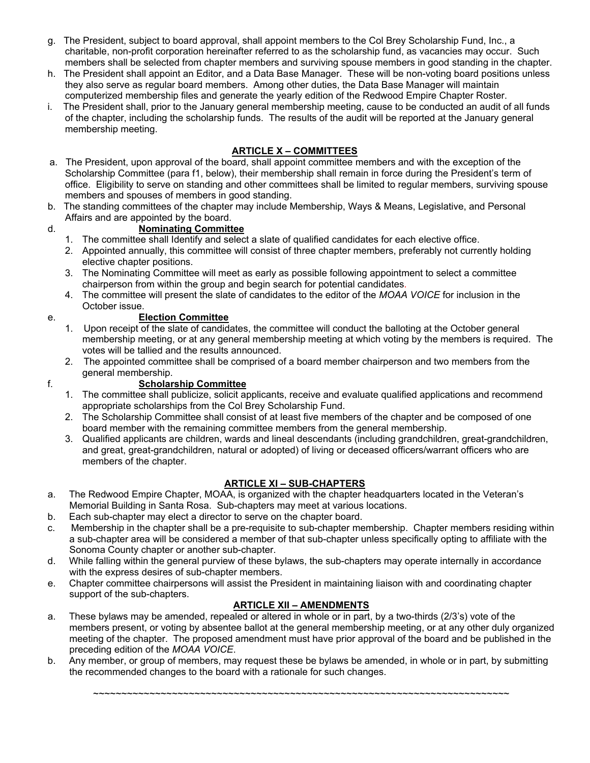- g. The President, subject to board approval, shall appoint members to the Col Brey Scholarship Fund, Inc., a charitable, non-profit corporation hereinafter referred to as the scholarship fund, as vacancies may occur. Such members shall be selected from chapter members and surviving spouse members in good standing in the chapter.
- h. The President shall appoint an Editor, and a Data Base Manager. These will be non-voting board positions unless they also serve as regular board members. Among other duties, the Data Base Manager will maintain computerized membership files and generate the yearly edition of the Redwood Empire Chapter Roster.
- i. The President shall, prior to the January general membership meeting, cause to be conducted an audit of all funds of the chapter, including the scholarship funds. The results of the audit will be reported at the January general membership meeting.

# **ARTICLE X – COMMITTEES**

- a. The President, upon approval of the board, shall appoint committee members and with the exception of the Scholarship Committee (para f1, below), their membership shall remain in force during the President's term of office. Eligibility to serve on standing and other committees shall be limited to regular members, surviving spouse members and spouses of members in good standing.
- b. The standing committees of the chapter may include Membership, Ways & Means, Legislative, and Personal Affairs and are appointed by the board.

# d. **Nominating Committee**

- 1. The committee shall Identify and select a slate of qualified candidates for each elective office.
- 2. Appointed annually, this committee will consist of three chapter members, preferably not currently holding elective chapter positions.
- 3. The Nominating Committee will meet as early as possible following appointment to select a committee chairperson from within the group and begin search for potential candidates*.*
- 4. The committee will present the slate of candidates to the editor of the *MOAA VOICE* for inclusion in the October issue.
- 

#### e. **Election Committee**

- 1. Upon receipt of the slate of candidates, the committee will conduct the balloting at the October general membership meeting, or at any general membership meeting at which voting by the members is required. The votes will be tallied and the results announced.
- 2. The appointed committee shall be comprised of a board member chairperson and two members from the general membership.

# f. **Scholarship Committee**

- 1. The committee shall publicize, solicit applicants, receive and evaluate qualified applications and recommend appropriate scholarships from the Col Brey Scholarship Fund.
- 2. The Scholarship Committee shall consist of at least five members of the chapter and be composed of one board member with the remaining committee members from the general membership.
- 3. Qualified applicants are children, wards and lineal descendants (including grandchildren, great-grandchildren, and great, great-grandchildren, natural or adopted) of living or deceased officers/warrant officers who are members of the chapter.

# **ARTICLE XI – SUB-CHAPTERS**

- a. The Redwood Empire Chapter, MOAA, is organized with the chapter headquarters located in the Veteran's Memorial Building in Santa Rosa. Sub-chapters may meet at various locations.
- b. Each sub-chapter may elect a director to serve on the chapter board.
- c. Membership in the chapter shall be a pre-requisite to sub-chapter membership. Chapter members residing within a sub-chapter area will be considered a member of that sub-chapter unless specifically opting to affiliate with the Sonoma County chapter or another sub-chapter.
- d. While falling within the general purview of these bylaws, the sub-chapters may operate internally in accordance with the express desires of sub-chapter members.
- e. Chapter committee chairpersons will assist the President in maintaining liaison with and coordinating chapter support of the sub-chapters.

# **ARTICLE XII – AMENDMENTS**

- a. These bylaws may be amended, repealed or altered in whole or in part, by a two-thirds (2/3's) vote of the members present, or voting by absentee ballot at the general membership meeting, or at any other duly organized meeting of the chapter. The proposed amendment must have prior approval of the board and be published in the preceding edition of the *MOAA VOICE*.
- b. Any member, or group of members, may request these be bylaws be amended, in whole or in part, by submitting the recommended changes to the board with a rationale for such changes.

~~~~~~~~~~~~~~~~~~~~~~~~~~~~~~~~~~~~~~~~~~~~~~~~~~~~~~~~~~~~~~~~~~~~~~~~~~